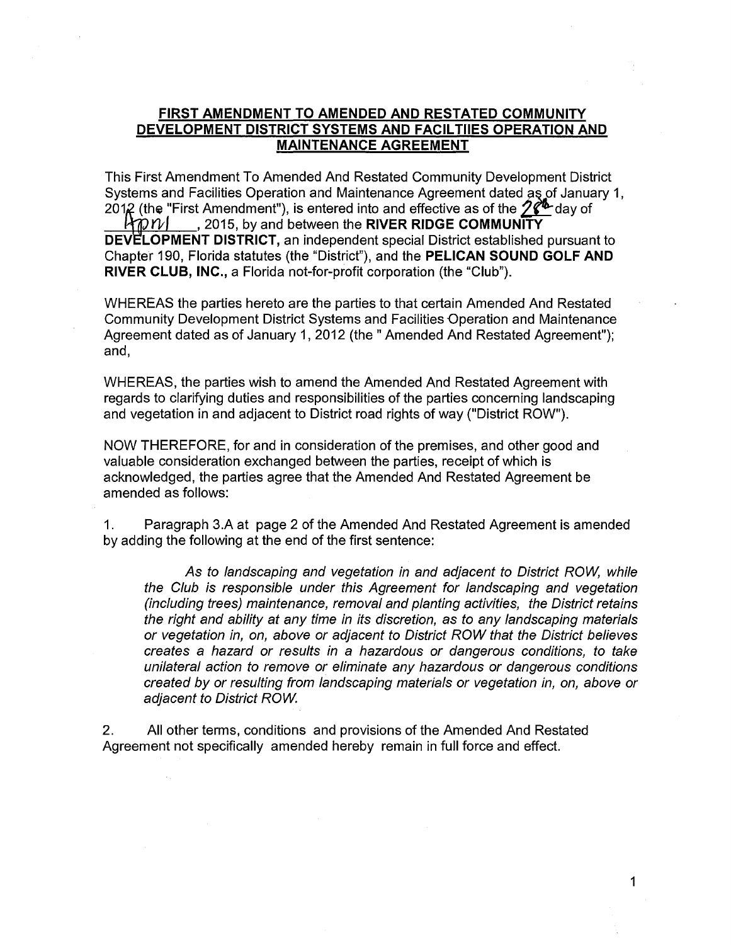## **FIRST AMENDMENT TO AMENDED AND RESTATED COMMUNITY DEVELOPMENT DISTRICT SYSTEMS AND FACIL TIIES OPERATION AND MAINTENANCE AGREEMENT**

This First Amendment To Amended And Restated Community Development District Systems and Facilities Operation and Maintenance Agreement dated as of January 1, 2012 (the "First Amendment"), is entered into and effective as of the  $2\ell^{\underline{b}}$  day of  $\mathcal{W}$   $\mathcal{W}$  , 2015, by and between the **RIVER RIDGE COMMUNITY** 

. 2015, by and between the **RIVER RIDGE COMMUNITY DEVELOPMENT DISTRICT, an independent special District established pursuant to** Chapter 190, Florida statutes (the "District"), and the **PELICAN SOUND GOLF AND RIVER CLUB, INC.,** a Florida not-for-profit corporation (the "Club").

WHEREAS the parties hereto are the parties to that certain Amended And Restated Community Development District Systems and Facilities Operation and Maintenance Agreement dated as of January 1, 2012 (the "Amended And Restated Agreement"); and,

WHEREAS, the parties wish to amend the Amended And Restated Agreement with regards to clarifying duties and responsibilities of the parties concerning landscaping and vegetation in and adjacent to District road rights of way ("District ROW").

NOW THEREFORE, for and in consideration of the premises, and other good and valuable consideration exchanged between the parties, receipt of which is acknowledged, the parties agree that the Amended And Restated Agreement be amended as follows:

1. Paragraph 3.A at page 2 of the Amended And Restated Agreement is amended by adding the following at the end of the first sentence:

As to landscaping and vegetation in and adjacent to District ROW, while the Club is responsible under this Agreement for landscaping and vegetation (including trees) maintenance, removal and planting activities, the District retains the right and ability at any time in its discretion, as to any landscaping materials or vegetation in, on, above or adjacent to District ROW that the District believes creates a hazard or results in a hazardous or dangerous conditions, to take unilateral action to remove or eliminate any hazardous or dangerous conditions created by or resulting from landscaping materials or vegetation in, on, above or adjacent to District ROW

2. All other terms, conditions and provisions of the Amended And Restated Agreement not specifically amended hereby remain in full force and effect.